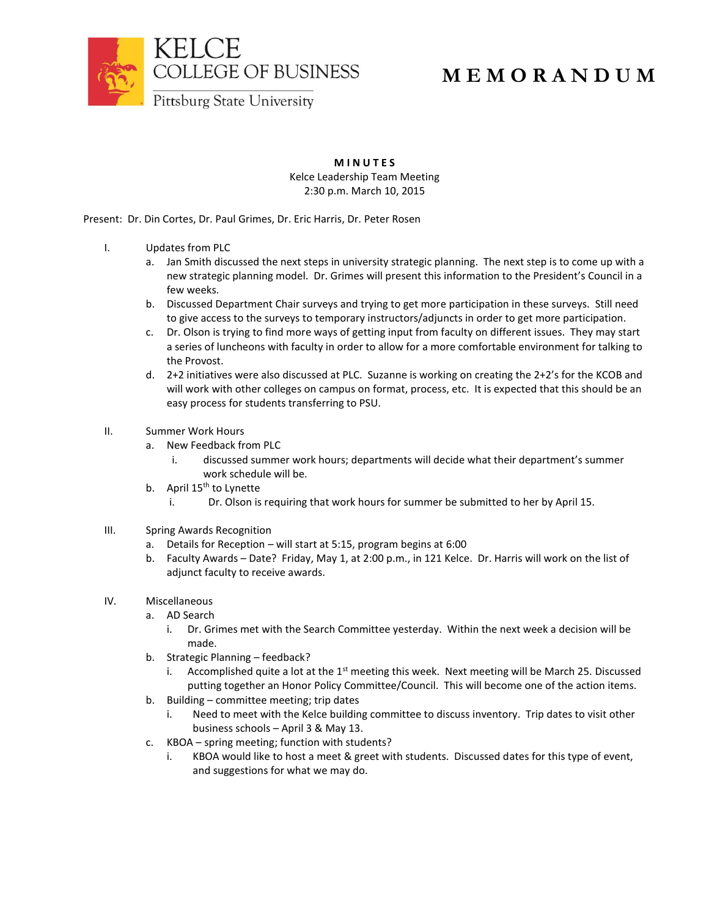

# **M E M O R A N D U M**

**M I N U T E S** Kelce Leadership Team Meeting 2:30 p.m. March 10, 2015

Present: Dr. Din Cortes, Dr. Paul Grimes, Dr. Eric Harris, Dr. Peter Rosen

- I. Updates from PLC
	- a. Jan Smith discussed the next steps in university strategic planning. The next step is to come up with a new strategic planning model. Dr. Grimes will present this information to the President's Council in a few weeks.
	- b. Discussed Department Chair surveys and trying to get more participation in these surveys. Still need to give access to the surveys to temporary instructors/adjuncts in order to get more participation.
	- c. Dr. Olson is trying to find more ways of getting input from faculty on different issues. They may start a series of luncheons with faculty in order to allow for a more comfortable environment for talking to the Provost.
	- d. 2+2 initiatives were also discussed at PLC. Suzanne is working on creating the 2+2's for the KCOB and will work with other colleges on campus on format, process, etc. It is expected that this should be an easy process for students transferring to PSU.

## II. Summer Work Hours

- a. New Feedback from PLC
	- i. discussed summer work hours; departments will decide what their department's summer work schedule will be.
- b. April  $15<sup>th</sup>$  to Lynette
	- i. Dr. Olson is requiring that work hours for summer be submitted to her by April 15.
- III. Spring Awards Recognition
	- a. Details for Reception will start at 5:15, program begins at 6:00
	- b. Faculty Awards Date? Friday, May 1, at 2:00 p.m., in 121 Kelce. Dr. Harris will work on the list of adjunct faculty to receive awards.

# IV. Miscellaneous

- a. AD Search
	- i. Dr. Grimes met with the Search Committee yesterday. Within the next week a decision will be made.
- b. Strategic Planning feedback?
	- i. Accomplished quite a lot at the  $1<sup>st</sup>$  meeting this week. Next meeting will be March 25. Discussed putting together an Honor Policy Committee/Council. This will become one of the action items.
- b. Building committee meeting; trip dates
	- i. Need to meet with the Kelce building committee to discuss inventory. Trip dates to visit other business schools – April 3 & May 13.
- c. KBOA spring meeting; function with students?
	- i. KBOA would like to host a meet & greet with students. Discussed dates for this type of event, and suggestions for what we may do.